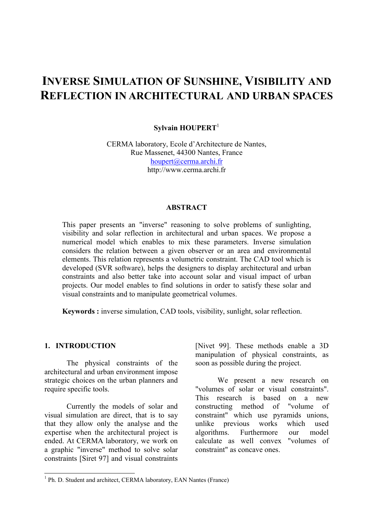# **INVERSE SIMULATION OF SUNSHINE, VISIBILITY AND REFLECTION IN ARCHITECTURAL AND URBAN SPACES**

# **Sylvain HOUPERT**<sup>1</sup>

CERMA laboratory, Ecole d'Architecture de Nantes, Rue Massenet, 44300 Nantes, France houpert@cerma.archi.fr http://www.cerma.archi.fr

#### **ABSTRACT**

This paper presents an "inverse" reasoning to solve problems of sunlighting, visibility and solar reflection in architectural and urban spaces. We propose a numerical model which enables to mix these parameters. Inverse simulation considers the relation between a given observer or an area and environmental elements. This relation represents a volumetric constraint. The CAD tool which is developed (SVR software), helps the designers to display architectural and urban constraints and also better take into account solar and visual impact of urban projects. Our model enables to find solutions in order to satisfy these solar and visual constraints and to manipulate geometrical volumes.

**Keywords :** inverse simulation, CAD tools, visibility, sunlight, solar reflection.

#### **1. INTRODUCTION**

The physical constraints of the architectural and urban environment impose strategic choices on the urban planners and require specific tools.

Currently the models of solar and visual simulation are direct, that is to say that they allow only the analyse and the expertise when the architectural project is ended. At CERMA laboratory, we work on a graphic "inverse" method to solve solar constraints [Siret 97] and visual constraints

[Nivet 99]. These methods enable a 3D manipulation of physical constraints, as soon as possible during the project.

We present a new research on "volumes of solar or visual constraints". This research is based on a new constructing method of "volume of constraint" which use pyramids unions, unlike previous works which used algorithms. Furthermore our model calculate as well convex "volumes of constraint" as concave ones.

<sup>&</sup>lt;sup>1</sup> Ph. D. Student and architect, CERMA laboratory, EAN Nantes (France)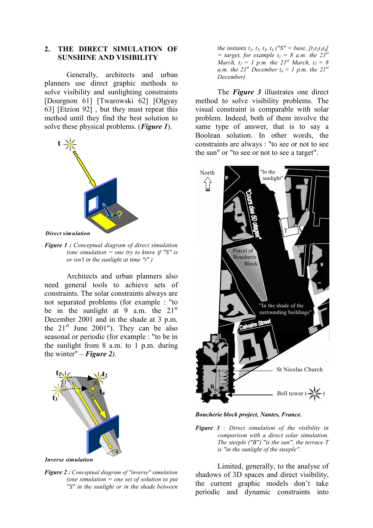# **2. THE DIRECT SIMULATION OF SUNSHINE AND VISIBILITY**

Generally, architects and urban planners use direct graphic methods to solve visibility and sunlighting constraints [Dourgnon 61] [Twarowski 62] [Olgyay 63] [Etzion 92] , but they must repeat this method until they find the best solution to solve these physical problems. (*Figure 1*).



*Direct simulation*

*Figure 1 : Conceptual diagram of direct simulation (one simulation = one try to know if "S" is or isn't in the sunlight at time "t" )*

Architects and urban planners also need general tools to achieve sets of constraints. The solar constraints always are not separated problems (for example : "to be in the sunlight at 9 a.m. the  $21^{st}$ December 2001 and in the shade at 3 p.m. the  $21<sup>st</sup>$  June 2001"). They can be also seasonal or periodic (for example : "to be in the sunlight from 8 a.m. to 1 p.m. during the winter" – **Figure 2**).



*Figure 2 : Conceptual diagram of "inverse" simulation (one simulation = one set of solution to put "S" in the sunlight or in the shade between*

*the instants t<sub>1</sub>, t<sub>2</sub>, t<sub>3</sub>, t<sub>4</sub> ("S" = base, [t<sub>1</sub>t<sub>2</sub>t<sub>3</sub>t<sub>4</sub>]*  $=$  target, for example  $t_1 = 8$  a.m. the  $21^{st}$ *March,*  $t_2 = 1$  *p.m. the 21<sup>st</sup> March,*  $t_3 = 8$ *a.m. the 21<sup>st</sup> December*  $t_4 = 1$  *p.m. the 21<sup>st</sup> December)*

The *Figure 3* illustrates one direct method to solve visibility problems. The visual constraint is comparable with solar problem. Indeed, both of them involve the same type of answer, that is to say a Boolean solution. In other words, the constraints are always : "to see or not to see the sun" or "to see or not to see a target".



*Boucherie block project, Nantes, France.*

*Figure 3 : Direct simulation of the visibility in comparison with a direct solar simulation. The steeple ("B") "is the sun", the terrace T is "in the sunlight of the steeple".*

Limited, generally, to the analyse of shadows of 3D spaces and direct visibility, the current graphic models don't take periodic and dynamic constraints into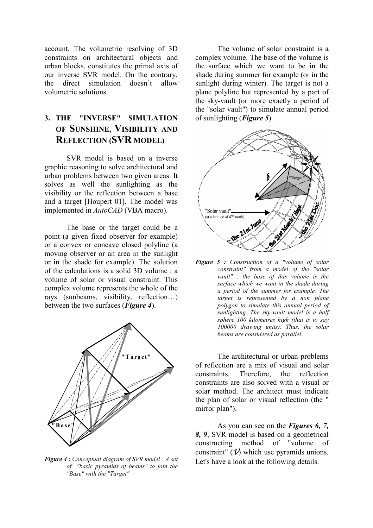account. The volumetric resolving of 3D constraints on architectural objects and urban blocks, constitutes the primal axis of our inverse SVR model. On the contrary, the direct simulation doesn't allow volumetric solutions.

# **3. THE "INVERSE" SIMULATION OF SUNSHINE, VISIBILITY AND REFLECTION (SVR MODEL)**

SVR model is based on a inverse graphic reasoning to solve architectural and urban problems between two given areas. It solves as well the sunlighting as the visibility or the reflection between a base and a target [Houpert 01]. The model was implemented in *AutoCAD* (VBA macro).

The base or the target could be a point (a given fixed observer for example) or a convex or concave closed polyline (a moving observer or an area in the sunlight or in the shade for example). The solution of the calculations is a solid 3D volume : a volume of solar or visual constraint. This complex volume represents the whole of the rays (sunbeams, visibility, reflection…) between the two surfaces (*Figure 4*).



*Figure 4 : Conceptual diagram of SVR model : A set of "basic pyramids of beams" to join the "Base" with the "Target"*

The volume of solar constraint is a complex volume. The base of the volume is the surface which we want to be in the shade during summer for example (or in the sunlight during winter). The target is not a plane polyline but represented by a part of the sky-vault (or more exactly a period of the "solar vault") to simulate annual period of sunlighting (*Figure 5*).



*Figure 5 : Construction of a "volume of solar constraint" from a model of the "solar vault" : the base of this volume is the surface which we want in the shade during a period of the summer for example. The target is represented by a non plane polygon to simulate this annual period of sunlighting. The sky-vault model is a half sphere 100 kilometres high (that is to say 100000 drawing units). Thus, the solar beams are considered as parallel.*

The architectural or urban problems of reflection are a mix of visual and solar constraints. Therefore, the reflection constraints are also solved with a visual or solar method. The architect must indicate the plan of solar or visual reflection (the " mirror plan").

As you can see on the *Figures 6, 7, 8, 9*, SVR model is based on a geometrical constructing method of "volume of constraint" (*V*) which use pyramids unions. Let's have a look at the following details.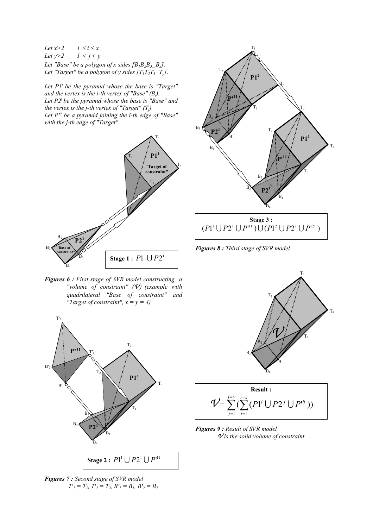*Let*  $x>2$   $1 \le i \le x$ *Let*  $y>2$   $1 \le j \le y$ *Let "Base" be a polygon of x sides [B1B2B3…Bx].* Let "Target" be a polygon of y sides  $[T_1T_2T_3T_y]$ .

*Let P1i be the pyramid whose the base is "Target" and the vertex is the i-th vertex of "Base" (Bi). Let P2j be the pyramid whose the base is "Base" and the vertex is the j-th vertex of "Target"*  $(T_i)$ *. Let P'ij be a pyramid joining the i-th edge of "Base" with the j-th edge of "Target".*



*Figures 6 : First stage of SVR model constructing a "volume of constraint" (V) (example with quadrilateral "Base of constraint" and "Target of constraint",*  $x = y = 4$ *)* 



*Figures 7 : Second stage of SVR model*  $T'_1 = T_1, T'_2 = T_2, B'_1 = B_1, B'_2 = B_2$ 



*Figures 8 : Third stage of SVR model*





*Figures 9 : Result of SVR model V is the solid volume of constraint*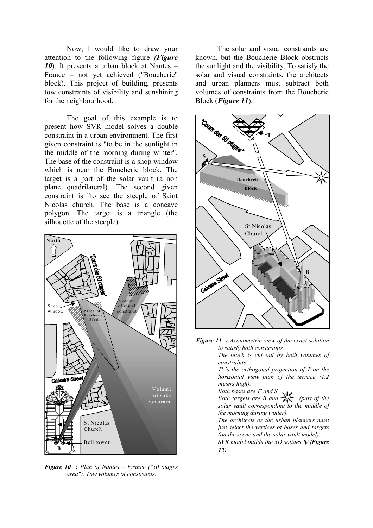Now, I would like to draw your attention to the following figure *(Figure 10*). It presents a urban block at Nantes – France – not yet achieved ("Boucherie" block). This project of building, presents tow constraints of visibility and sunshining for the neighbourhood.

The goal of this example is to present how SVR model solves a double constraint in a urban environment. The first given constraint is "to be in the sunlight in the middle of the morning during winter". The base of the constraint is a shop window which is near the Boucherie block. The target is a part of the solar vault (a non plane quadrilateral). The second given constraint is "to see the steeple of Saint Nicolas church. The base is a concave polygon. The target is a triangle (the silhouette of the steeple).



*Figure 10 : Plan of Nantes – France ("50 otages area"). Tow volumes of constraints.*

The solar and visual constraints are known, but the Boucherie Block obstructs the sunlight and the visibility. To satisfy the solar and visual constraints, the architects and urban planners must subtract both volumes of constraints from the Boucherie Block (*Figure 11*).



*Figure 11 : Axonometric view of the exact solution to satisfy both constraints.*

*The block is cut out by both volumes of constraints.*

*T' is the orthogonal projection of T on the horizontal view plan of the terrace (1,2 meters high).*

*Both bases are T' and S.* 

*Both targets are B and*  $\bigotimes_{k=1}^{\infty}$  (part of the *solar vault corresponding to the middle of the morning during winter).*

*The architects or the urban planners must just select the vertices of bases and targets (on the scene and the solar vault model).*

*SVR model builds the 3D solides V (Figure 12).*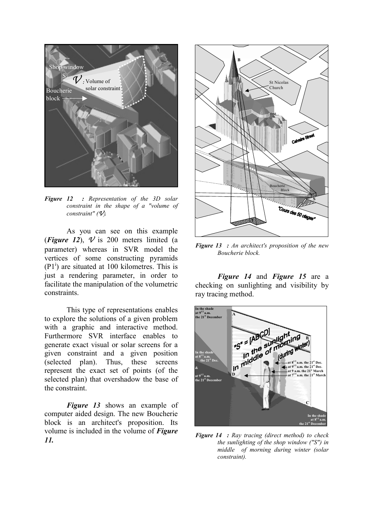

*Figure 12 : Representation of the 3D solar constraint in the shape of a "volume of constraint" (V).*

As you can see on this example (*Figure 12*),  $\nu$  is 200 meters limited (a parameter) whereas in SVR model the vertices of some constructing pyramids  $(P1<sup>i</sup>)$  are situated at 100 kilometres. This is just a rendering parameter, in order to facilitate the manipulation of the volumetric constraints.

This type of representations enables to explore the solutions of a given problem with a graphic and interactive method. Furthermore SVR interface enables to generate exact visual or solar screens for a given constraint and a given position (selected plan). Thus, these screens represent the exact set of points (of the selected plan) that overshadow the base of the constraint.

*Figure 13* shows an example of computer aided design. The new Boucherie block is an architect's proposition. Its volume is included in the volume of *Figure 11.*



*Figure 13 : An architect's proposition of the new Boucherie block.*

*Figure 14* and *Figure 15* are a checking on sunlighting and visibility by ray tracing method.



*Figure 14 : Ray tracing (direct method) to check the sunlighting of the shop window ("S") in middle of morning during winter (solar constraint).*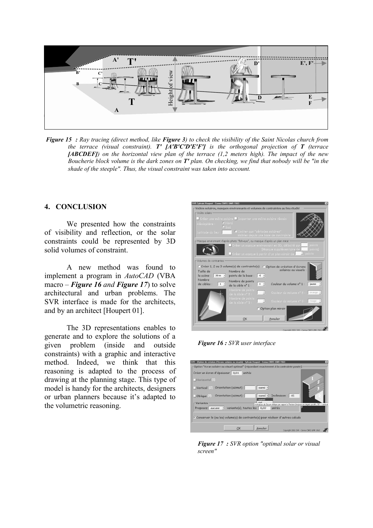

*Figure 15 : Ray tracing (direct method, like Figure 3) to check the visibility of the Saint Nicolas church from the terrace (visual constraint). T' [A'B'C'D'E'F'] is the orthogonal projection of T (terrace [ABCDEF]) on the horizontal view plan of the terrace (1,2 meters high). The impact of the new Boucherie block volume is the dark zones on T' plan. On checking, we find that nobody will be "in the shade of the steeple". Thus, the visual constraint was taken into account.*

# **4. CONCLUSION**

We presented how the constraints of visibility and reflection, or the solar constraints could be represented by 3D solid volumes of constraint.

A new method was found to implement a program in *AutoCAD* (VBA macro – *Figure 16 and Figure 17*) to solve architectural and urban problems. The SVR interface is made for the architects, and by an architect [Houpert 01].

The 3D representations enables to generate and to explore the solutions of a given problem (inside and outside constraints) with a graphic and interactive method. Indeed, we think that this reasoning is adapted to the process of drawing at the planning stage. This type of model is handy for the architects, designers or urban planners because it's adapted to the volumetric reasoning.



*Figure 16 : SVR user interface*

| – Option "écran solaire ou visuel optimal" (répondant exactement à la contrainte posée)         |                        |                  |                 |                                                                                                     |
|-------------------------------------------------------------------------------------------------|------------------------|------------------|-----------------|-----------------------------------------------------------------------------------------------------|
| Créer un écran d'épaisseur 0,01                                                                 | unités                 |                  |                 |                                                                                                     |
| Horizontal (1)                                                                                  |                        |                  |                 |                                                                                                     |
| $\blacksquare$ Vertical (2) Orientation (azimut) :                                              |                        | ouest -          |                 |                                                                                                     |
| $\Box$ Oblique $\left(3\right)$                                                                 | Orientation (azimut) : | ouest -<br>ouest | Inclinaison: 45 |                                                                                                     |
| $-$ Variantes                                                                                   |                        |                  |                 | Inclinaison de l'écran oblique par rapport à l'horizon (toujours en degrés positifs, 90° = vertical |
| Proposez aucune $\cdot$ variante(s) toutes les 0,02                                             |                        |                  | unités          |                                                                                                     |
|                                                                                                 |                        |                  |                 |                                                                                                     |
| $\triangledown$ Conserver le (ou les) volume(s) de contrainte(s) pour réaliser d'autres calculs |                        |                  |                 |                                                                                                     |
|                                                                                                 |                        |                  |                 |                                                                                                     |
|                                                                                                 |                        |                  |                 |                                                                                                     |

*Figure 17 : SVR option "optimal solar or visual screen"*